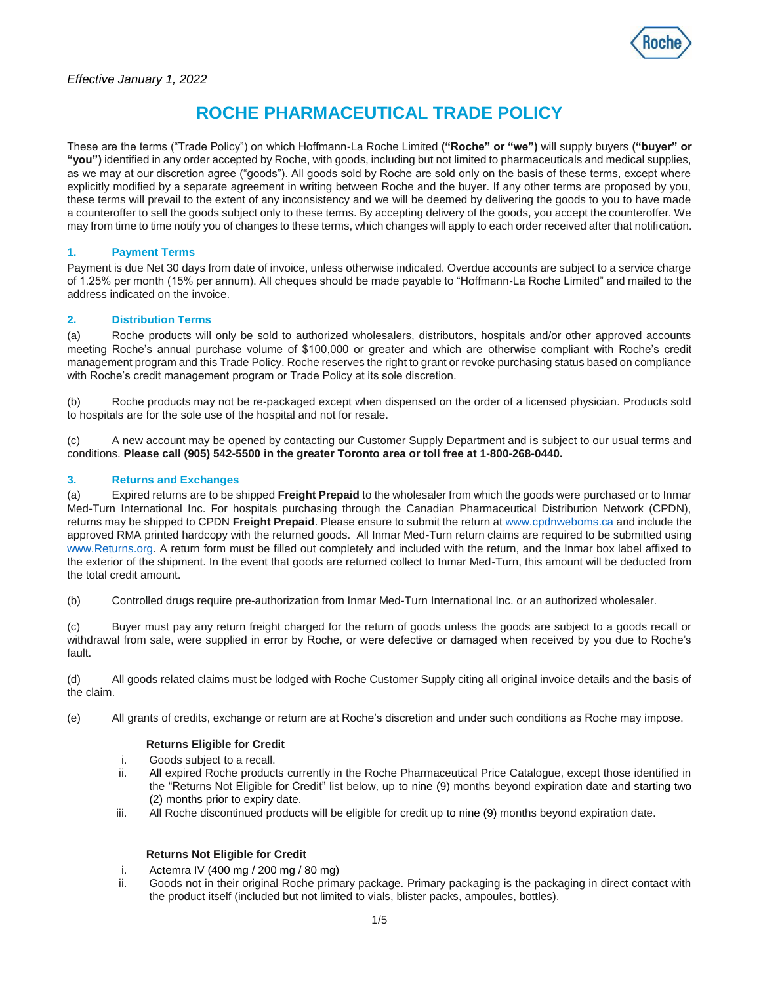

These are the terms ("Trade Policy") on which Hoffmann-La Roche Limited **("Roche" or "we")** will supply buyers **("buyer" or "you")** identified in any order accepted by Roche, with goods, including but not limited to pharmaceuticals and medical supplies, as we may at our discretion agree ("goods"). All goods sold by Roche are sold only on the basis of these terms, except where explicitly modified by a separate agreement in writing between Roche and the buyer. If any other terms are proposed by you, these terms will prevail to the extent of any inconsistency and we will be deemed by delivering the goods to you to have made a counteroffer to sell the goods subject only to these terms. By accepting delivery of the goods, you accept the counteroffer. We may from time to time notify you of changes to these terms, which changes will apply to each order received after that notification.

## **1. Payment Terms**

Payment is due Net 30 days from date of invoice, unless otherwise indicated. Overdue accounts are subject to a service charge of 1.25% per month (15% per annum). All cheques should be made payable to "Hoffmann-La Roche Limited" and mailed to the address indicated on the invoice.

## **2. Distribution Terms**

(a) Roche products will only be sold to authorized wholesalers, distributors, hospitals and/or other approved accounts meeting Roche's annual purchase volume of \$100,000 or greater and which are otherwise compliant with Roche's credit management program and this Trade Policy. Roche reserves the right to grant or revoke purchasing status based on compliance with Roche's credit management program or Trade Policy at its sole discretion.

(b) Roche products may not be re-packaged except when dispensed on the order of a licensed physician. Products sold to hospitals are for the sole use of the hospital and not for resale.

(c) A new account may be opened by contacting our Customer Supply Department and is subject to our usual terms and conditions. **Please call (905) 542-5500 in the greater Toronto area or toll free at 1-800-268-0440.**

## **3. Returns and Exchanges**

(a) Expired returns are to be shipped **Freight Prepaid** to the wholesaler from which the goods were purchased or to Inmar Med-Turn International Inc. For hospitals purchasing through the Canadian Pharmaceutical Distribution Network (CPDN), returns may be shipped to CPDN **Freight Prepaid**. Please ensure to submit the return a[t www.cpdnweboms.ca](http://www.cpdnweboms.ca/) and include the approved RMA printed hardcopy with the returned goods. All Inmar Med-Turn return claims are required to be submitted using [www.Returns.org.](http://www.returns.org/) A return form must be filled out completely and included with the return, and the Inmar box label affixed to the exterior of the shipment. In the event that goods are returned collect to Inmar Med-Turn, this amount will be deducted from the total credit amount.

(b) Controlled drugs require pre-authorization from Inmar Med-Turn International Inc. or an authorized wholesaler.

(c) Buyer must pay any return freight charged for the return of goods unless the goods are subject to a goods recall or withdrawal from sale, were supplied in error by Roche, or were defective or damaged when received by you due to Roche's fault.

(d) All goods related claims must be lodged with Roche Customer Supply citing all original invoice details and the basis of the claim.

(e) All grants of credits, exchange or return are at Roche's discretion and under such conditions as Roche may impose.

### **Returns Eligible for Credit**

- i. Goods subject to a recall.
- ii. All expired Roche products currently in the Roche Pharmaceutical Price Catalogue, except those identified in the "Returns Not Eligible for Credit" list below, up to nine (9) months beyond expiration date and starting two (2) months prior to expiry date.
- iii. All Roche discontinued products will be eligible for credit up to nine (9) months beyond expiration date.

# **Returns Not Eligible for Credit**

- i. Actemra IV (400 mg / 200 mg / 80 mg)
- ii. Goods not in their original Roche primary package. Primary packaging is the packaging in direct contact with the product itself (included but not limited to vials, blister packs, ampoules, bottles).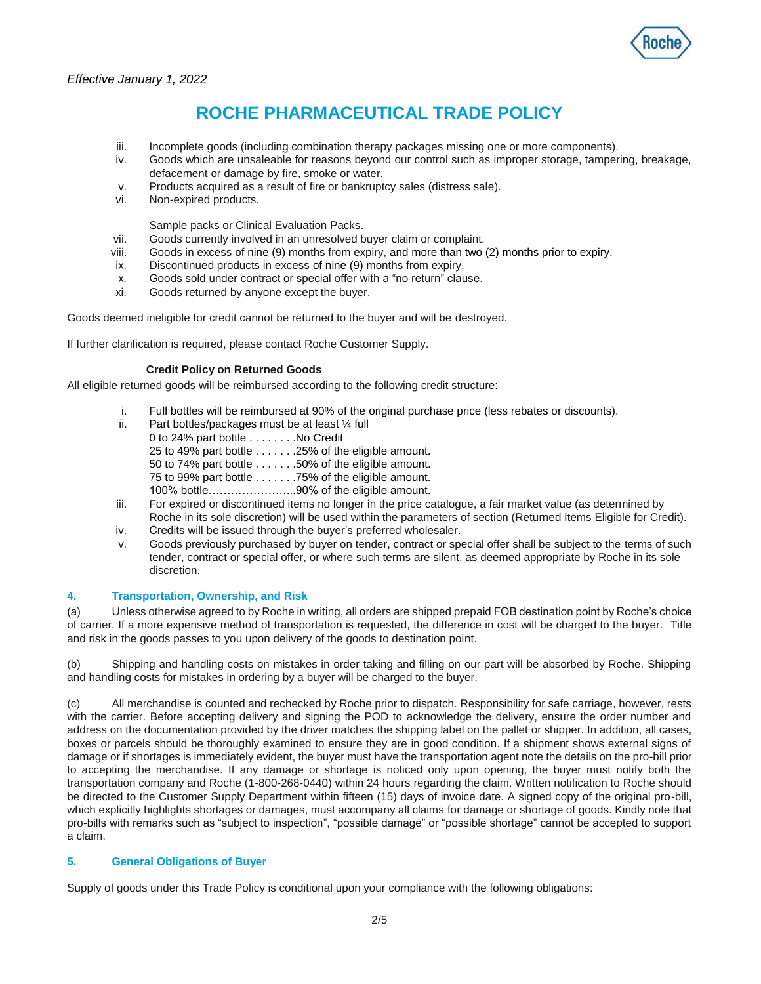

- iii. Incomplete goods (including combination therapy packages missing one or more components).
- iv. Goods which are unsaleable for reasons beyond our control such as improper storage, tampering, breakage, defacement or damage by fire, smoke or water.
- v. Products acquired as a result of fire or bankruptcy sales (distress sale).
- vi. Non-expired products.

Sample packs or Clinical Evaluation Packs.

- vii. Goods currently involved in an unresolved buyer claim or complaint.
- viii. Goods in excess of nine (9) months from expiry, and more than two (2) months prior to expiry.
- ix. Discontinued products in excess of nine (9) months from expiry.
- x. Goods sold under contract or special offer with a "no return" clause.
- xi. Goods returned by anyone except the buyer.

Goods deemed ineligible for credit cannot be returned to the buyer and will be destroyed.

If further clarification is required, please contact Roche Customer Supply.

#### **Credit Policy on Returned Goods**

All eligible returned goods will be reimbursed according to the following credit structure:

- i. Full bottles will be reimbursed at 90% of the original purchase price (less rebates or discounts).
- ii. Part bottles/packages must be at least ¼ full
	- 0 to 24% part bottle . . . . . . . . No Credit
		- 25 to 49% part bottle . . . . . . .25% of the eligible amount.
		- 50 to 74% part bottle . . . . . . .50% of the eligible amount.
		- 75 to 99% part bottle . . . . . . .75% of the eligible amount.
	- 100% bottle…………………...90% of the eligible amount.
- iii. For expired or discontinued items no longer in the price catalogue, a fair market value (as determined by Roche in its sole discretion) will be used within the parameters of section (Returned Items Eligible for Credit).
- iv. Credits will be issued through the buyer's preferred wholesaler.
- v. Goods previously purchased by buyer on tender, contract or special offer shall be subject to the terms of such tender, contract or special offer, or where such terms are silent, as deemed appropriate by Roche in its sole discretion.

### **4. Transportation, Ownership, and Risk**

(a) Unless otherwise agreed to by Roche in writing, all orders are shipped prepaid FOB destination point by Roche's choice of carrier. If a more expensive method of transportation is requested, the difference in cost will be charged to the buyer. Title and risk in the goods passes to you upon delivery of the goods to destination point.

(b) Shipping and handling costs on mistakes in order taking and filling on our part will be absorbed by Roche. Shipping and handling costs for mistakes in ordering by a buyer will be charged to the buyer.

(c) All merchandise is counted and rechecked by Roche prior to dispatch. Responsibility for safe carriage, however, rests with the carrier. Before accepting delivery and signing the POD to acknowledge the delivery, ensure the order number and address on the documentation provided by the driver matches the shipping label on the pallet or shipper. In addition, all cases, boxes or parcels should be thoroughly examined to ensure they are in good condition. If a shipment shows external signs of damage or if shortages is immediately evident, the buyer must have the transportation agent note the details on the pro-bill prior to accepting the merchandise. If any damage or shortage is noticed only upon opening, the buyer must notify both the transportation company and Roche (1-800-268-0440) within 24 hours regarding the claim. Written notification to Roche should be directed to the Customer Supply Department within fifteen (15) days of invoice date. A signed copy of the original pro-bill, which explicitly highlights shortages or damages, must accompany all claims for damage or shortage of goods. Kindly note that pro-bills with remarks such as "subject to inspection", "possible damage" or "possible shortage" cannot be accepted to support a claim.

## **5. General Obligations of Buyer**

Supply of goods under this Trade Policy is conditional upon your compliance with the following obligations: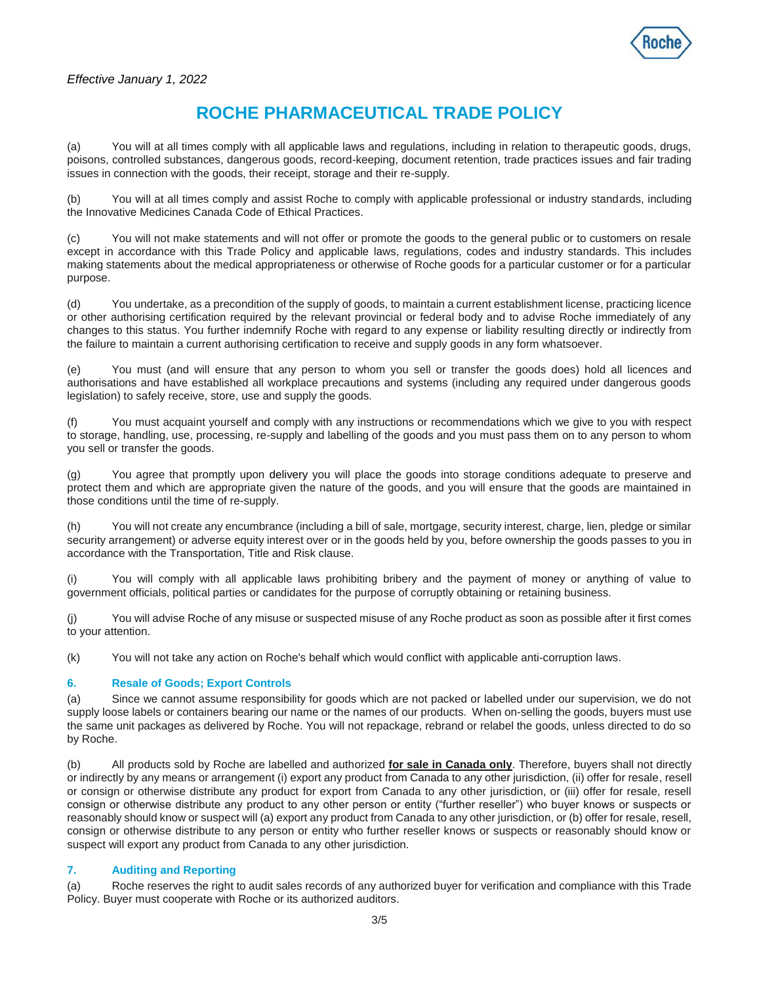

(a) You will at all times comply with all applicable laws and regulations, including in relation to therapeutic goods, drugs, poisons, controlled substances, dangerous goods, record-keeping, document retention, trade practices issues and fair trading issues in connection with the goods, their receipt, storage and their re-supply.

(b) You will at all times comply and assist Roche to comply with applicable professional or industry standards, including the Innovative Medicines Canada Code of Ethical Practices.

(c) You will not make statements and will not offer or promote the goods to the general public or to customers on resale except in accordance with this Trade Policy and applicable laws, regulations, codes and industry standards. This includes making statements about the medical appropriateness or otherwise of Roche goods for a particular customer or for a particular purpose.

(d) You undertake, as a precondition of the supply of goods, to maintain a current establishment license, practicing licence or other authorising certification required by the relevant provincial or federal body and to advise Roche immediately of any changes to this status. You further indemnify Roche with regard to any expense or liability resulting directly or indirectly from the failure to maintain a current authorising certification to receive and supply goods in any form whatsoever.

(e) You must (and will ensure that any person to whom you sell or transfer the goods does) hold all licences and authorisations and have established all workplace precautions and systems (including any required under dangerous goods legislation) to safely receive, store, use and supply the goods.

(f) You must acquaint yourself and comply with any instructions or recommendations which we give to you with respect to storage, handling, use, processing, re-supply and labelling of the goods and you must pass them on to any person to whom you sell or transfer the goods.

(g) You agree that promptly upon delivery you will place the goods into storage conditions adequate to preserve and protect them and which are appropriate given the nature of the goods, and you will ensure that the goods are maintained in those conditions until the time of re-supply.

(h) You will not create any encumbrance (including a bill of sale, mortgage, security interest, charge, lien, pledge or similar security arrangement) or adverse equity interest over or in the goods held by you, before ownership the goods passes to you in accordance with the Transportation, Title and Risk clause.

(i) You will comply with all applicable laws prohibiting bribery and the payment of money or anything of value to government officials, political parties or candidates for the purpose of corruptly obtaining or retaining business.

(j) You will advise Roche of any misuse or suspected misuse of any Roche product as soon as possible after it first comes to your attention.

(k) You will not take any action on Roche's behalf which would conflict with applicable anti-corruption laws.

# **6. Resale of Goods; Export Controls**

(a) Since we cannot assume responsibility for goods which are not packed or labelled under our supervision, we do not supply loose labels or containers bearing our name or the names of our products. When on-selling the goods, buyers must use the same unit packages as delivered by Roche. You will not repackage, rebrand or relabel the goods, unless directed to do so by Roche.

(b) All products sold by Roche are labelled and authorized **for sale in Canada only**. Therefore, buyers shall not directly or indirectly by any means or arrangement (i) export any product from Canada to any other jurisdiction, (ii) offer for resale, resell or consign or otherwise distribute any product for export from Canada to any other jurisdiction, or (iii) offer for resale, resell consign or otherwise distribute any product to any other person or entity ("further reseller") who buyer knows or suspects or reasonably should know or suspect will (a) export any product from Canada to any other jurisdiction, or (b) offer for resale, resell, consign or otherwise distribute to any person or entity who further reseller knows or suspects or reasonably should know or suspect will export any product from Canada to any other jurisdiction.

# **7. Auditing and Reporting**

(a) Roche reserves the right to audit sales records of any authorized buyer for verification and compliance with this Trade Policy. Buyer must cooperate with Roche or its authorized auditors.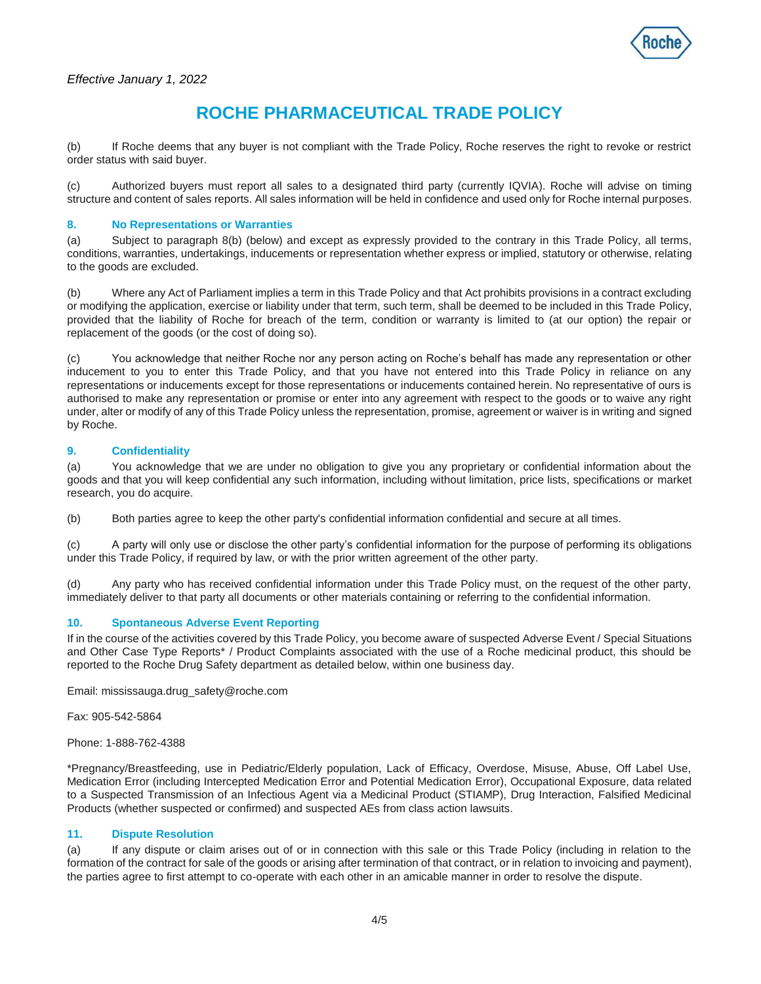

(b) If Roche deems that any buyer is not compliant with the Trade Policy, Roche reserves the right to revoke or restrict order status with said buyer.

(c) Authorized buyers must report all sales to a designated third party (currently IQVIA). Roche will advise on timing structure and content of sales reports. All sales information will be held in confidence and used only for Roche internal purposes.

## **8. No Representations or Warranties**

(a) Subject to paragraph 8(b) (below) and except as expressly provided to the contrary in this Trade Policy, all terms, conditions, warranties, undertakings, inducements or representation whether express or implied, statutory or otherwise, relating to the goods are excluded.

(b) Where any Act of Parliament implies a term in this Trade Policy and that Act prohibits provisions in a contract excluding or modifying the application, exercise or liability under that term, such term, shall be deemed to be included in this Trade Policy, provided that the liability of Roche for breach of the term, condition or warranty is limited to (at our option) the repair or replacement of the goods (or the cost of doing so).

(c) You acknowledge that neither Roche nor any person acting on Roche's behalf has made any representation or other inducement to you to enter this Trade Policy, and that you have not entered into this Trade Policy in reliance on any representations or inducements except for those representations or inducements contained herein. No representative of ours is authorised to make any representation or promise or enter into any agreement with respect to the goods or to waive any right under, alter or modify of any of this Trade Policy unless the representation, promise, agreement or waiver is in writing and signed by Roche.

## **9. Confidentiality**

(a) You acknowledge that we are under no obligation to give you any proprietary or confidential information about the goods and that you will keep confidential any such information, including without limitation, price lists, specifications or market research, you do acquire.

(b) Both parties agree to keep the other party's confidential information confidential and secure at all times.

(c) A party will only use or disclose the other party's confidential information for the purpose of performing its obligations under this Trade Policy, if required by law, or with the prior written agreement of the other party.

(d) Any party who has received confidential information under this Trade Policy must, on the request of the other party, immediately deliver to that party all documents or other materials containing or referring to the confidential information.

### **10. Spontaneous Adverse Event Reporting**

If in the course of the activities covered by this Trade Policy, you become aware of suspected Adverse Event / Special Situations and Other Case Type Reports\* / Product Complaints associated with the use of a Roche medicinal product, this should be reported to the Roche Drug Safety department as detailed below, within one business day.

Email: mississauga.drug\_safety@roche.com

Fax: 905-542-5864

Phone: 1-888-762-4388

\*Pregnancy/Breastfeeding, use in Pediatric/Elderly population, Lack of Efficacy, Overdose, Misuse, Abuse, Off Label Use, Medication Error (including Intercepted Medication Error and Potential Medication Error), Occupational Exposure, data related to a Suspected Transmission of an Infectious Agent via a Medicinal Product (STIAMP), Drug Interaction, Falsified Medicinal Products (whether suspected or confirmed) and suspected AEs from class action lawsuits.

### **11. Dispute Resolution**

(a) If any dispute or claim arises out of or in connection with this sale or this Trade Policy (including in relation to the formation of the contract for sale of the goods or arising after termination of that contract, or in relation to invoicing and payment), the parties agree to first attempt to co-operate with each other in an amicable manner in order to resolve the dispute.